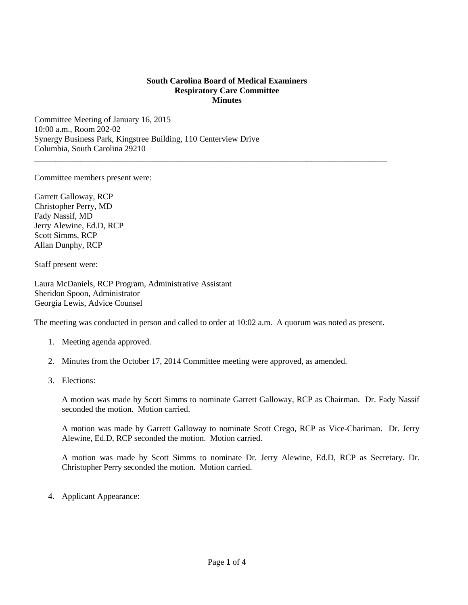## **South Carolina Board of Medical Examiners Respiratory Care Committee Minutes**

\_\_\_\_\_\_\_\_\_\_\_\_\_\_\_\_\_\_\_\_\_\_\_\_\_\_\_\_\_\_\_\_\_\_\_\_\_\_\_\_\_\_\_\_\_\_\_\_\_\_\_\_\_\_\_\_\_\_\_\_\_\_\_\_\_\_\_\_\_\_\_\_\_\_\_\_\_\_\_\_\_\_\_\_

Committee Meeting of January 16, 2015 10:00 a.m., Room 202-02 Synergy Business Park, Kingstree Building, 110 Centerview Drive Columbia, South Carolina 29210

Committee members present were:

Garrett Galloway, RCP Christopher Perry, MD Fady Nassif, MD Jerry Alewine, Ed.D, RCP Scott Simms, RCP Allan Dunphy, RCP

Staff present were:

Laura McDaniels, RCP Program, Administrative Assistant Sheridon Spoon, Administrator Georgia Lewis, Advice Counsel

The meeting was conducted in person and called to order at 10:02 a.m. A quorum was noted as present.

- 1. Meeting agenda approved.
- 2. Minutes from the October 17, 2014 Committee meeting were approved, as amended.
- 3. Elections:

A motion was made by Scott Simms to nominate Garrett Galloway, RCP as Chairman. Dr. Fady Nassif seconded the motion. Motion carried.

A motion was made by Garrett Galloway to nominate Scott Crego, RCP as Vice-Chariman. Dr. Jerry Alewine, Ed.D, RCP seconded the motion. Motion carried.

A motion was made by Scott Simms to nominate Dr. Jerry Alewine, Ed.D, RCP as Secretary. Dr. Christopher Perry seconded the motion. Motion carried.

4. Applicant Appearance: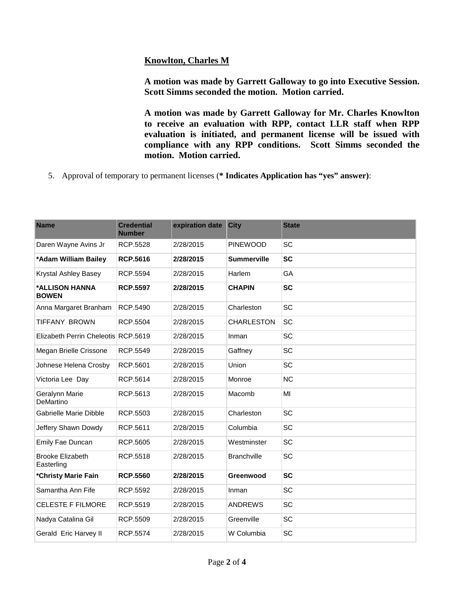## **Knowlton, Charles M**

**A motion was made by Garrett Galloway to go into Executive Session. Scott Simms seconded the motion. Motion carried.** 

**A motion was made by Garrett Galloway for Mr. Charles Knowlton to receive an evaluation with RPP, contact LLR staff when RPP evaluation is initiated, and permanent license will be issued with compliance with any RPP conditions. Scott Simms seconded the motion. Motion carried.** 

5. Approval of temporary to permanent licenses (**\* Indicates Application has "yes" answer)**:

| <b>Name</b>                           | <b>Credential</b><br><b>Number</b> | expiration date | <b>City</b>        | <b>State</b> |
|---------------------------------------|------------------------------------|-----------------|--------------------|--------------|
| Daren Wayne Avins Jr                  | RCP.5528                           | 2/28/2015       | <b>PINEWOOD</b>    | <b>SC</b>    |
| *Adam William Bailey                  | <b>RCP.5616</b>                    | 2/28/2015       | <b>Summerville</b> | <b>SC</b>    |
| Krystal Ashley Basey                  | RCP.5594                           | 2/28/2015       | Harlem             | GA           |
| *ALLISON HANNA<br><b>BOWEN</b>        | <b>RCP.5597</b>                    | 2/28/2015       | <b>CHAPIN</b>      | <b>SC</b>    |
| Anna Margaret Branham                 | RCP.5490                           | 2/28/2015       | Charleston         | SC           |
| <b>TIFFANY BROWN</b>                  | RCP.5504                           | 2/28/2015       | <b>CHARLESTON</b>  | SC           |
| Elizabeth Perrin Cheleotis RCP.5619   |                                    | 2/28/2015       | Inman              | SC           |
| Megan Brielle Crissone                | RCP.5549                           | 2/28/2015       | Gaffney            | SC           |
| Johnese Helena Crosby                 | RCP.5601                           | 2/28/2015       | Union              | SC           |
| Victoria Lee Day                      | RCP.5614                           | 2/28/2015       | Monroe             | <b>NC</b>    |
| Geralynn Marie<br>DeMartino           | RCP.5613                           | 2/28/2015       | Macomb             | MI           |
| <b>Gabrielle Marie Dibble</b>         | RCP.5503                           | 2/28/2015       | Charleston         | SC           |
| Jeffery Shawn Dowdy                   | RCP.5611                           | 2/28/2015       | Columbia           | SC           |
| Emily Fae Duncan                      | RCP.5605                           | 2/28/2015       | Westminster        | SC           |
| <b>Brooke Elizabeth</b><br>Easterling | RCP.5518                           | 2/28/2015       | <b>Branchville</b> | SC           |
| *Christy Marie Fain                   | <b>RCP.5560</b>                    | 2/28/2015       | Greenwood          | <b>SC</b>    |
| Samantha Ann Fife                     | RCP.5592                           | 2/28/2015       | Inman              | SC           |
| <b>CELESTE F FILMORE</b>              | RCP.5519                           | 2/28/2015       | <b>ANDREWS</b>     | SC           |
| Nadya Catalina Gil                    | RCP.5509                           | 2/28/2015       | Greenville         | SC           |
| Gerald Eric Harvey II                 | RCP.5574                           | 2/28/2015       | W Columbia         | SC           |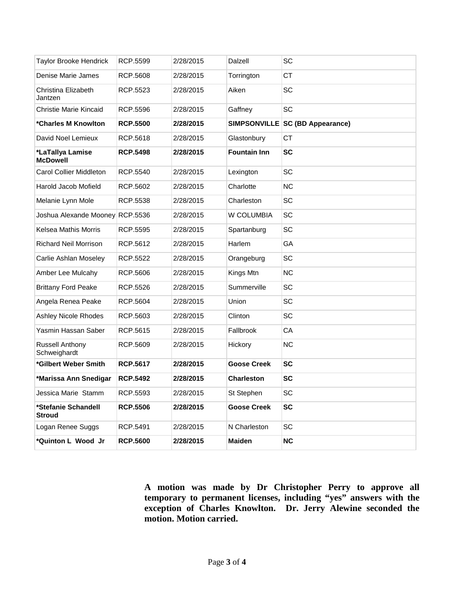| Taylor Brooke Hendrick                 | RCP.5599        | 2/28/2015 | Dalzell             | SC                              |
|----------------------------------------|-----------------|-----------|---------------------|---------------------------------|
| Denise Marie James                     | RCP.5608        | 2/28/2015 | Torrington          | СT                              |
| Christina Elizabeth<br>Jantzen         | RCP.5523        | 2/28/2015 | Aiken               | SC                              |
| Christie Marie Kincaid                 | RCP.5596        | 2/28/2015 | Gaffney             | SC                              |
| *Charles M Knowlton                    | <b>RCP.5500</b> | 2/28/2015 |                     | SIMPSONVILLE SC (BD Appearance) |
| David Noel Lemieux                     | RCP.5618        | 2/28/2015 | Glastonbury         | <b>CT</b>                       |
| *LaTallya Lamise<br><b>McDowell</b>    | <b>RCP.5498</b> | 2/28/2015 | <b>Fountain Inn</b> | <b>SC</b>                       |
| <b>Carol Collier Middleton</b>         | RCP.5540        | 2/28/2015 | Lexington           | SC                              |
| Harold Jacob Mofield                   | RCP.5602        | 2/28/2015 | Charlotte           | <b>NC</b>                       |
| Melanie Lynn Mole                      | RCP.5538        | 2/28/2015 | Charleston          | SC                              |
| Joshua Alexande Mooney RCP.5536        |                 | 2/28/2015 | W COLUMBIA          | SC                              |
| Kelsea Mathis Morris                   | RCP.5595        | 2/28/2015 | Spartanburg         | SC                              |
| <b>Richard Neil Morrison</b>           | RCP.5612        | 2/28/2015 | Harlem              | GA                              |
| Carlie Ashlan Moseley                  | RCP.5522        | 2/28/2015 | Orangeburg          | SC                              |
| Amber Lee Mulcahy                      | RCP.5606        | 2/28/2015 | Kings Mtn           | <b>NC</b>                       |
| <b>Brittany Ford Peake</b>             | RCP.5526        | 2/28/2015 | Summerville         | SC                              |
| Angela Renea Peake                     | RCP.5604        | 2/28/2015 | Union               | SC                              |
| <b>Ashley Nicole Rhodes</b>            | RCP.5603        | 2/28/2015 | Clinton             | SC                              |
| Yasmin Hassan Saber                    | RCP.5615        | 2/28/2015 | Fallbrook           | CA                              |
| <b>Russell Anthony</b><br>Schweighardt | RCP.5609        | 2/28/2015 | Hickory             | <b>NC</b>                       |
| *Gilbert Weber Smith                   | <b>RCP.5617</b> | 2/28/2015 | <b>Goose Creek</b>  | <b>SC</b>                       |
| *Marissa Ann Snedigar                  | <b>RCP.5492</b> | 2/28/2015 | <b>Charleston</b>   | <b>SC</b>                       |
| Jessica Marie Stamm                    | RCP.5593        | 2/28/2015 | St Stephen          | <b>SC</b>                       |
| *Stefanie Schandell<br><b>Stroud</b>   | <b>RCP.5506</b> | 2/28/2015 | <b>Goose Creek</b>  | <b>SC</b>                       |
| Logan Renee Suggs                      | RCP.5491        | 2/28/2015 | N Charleston        | SC                              |
| *Quinton L Wood Jr                     | <b>RCP.5600</b> | 2/28/2015 | <b>Maiden</b>       | <b>NC</b>                       |

**A motion was made by Dr Christopher Perry to approve all temporary to permanent licenses, including "yes" answers with the exception of Charles Knowlton. Dr. Jerry Alewine seconded the motion. Motion carried.**